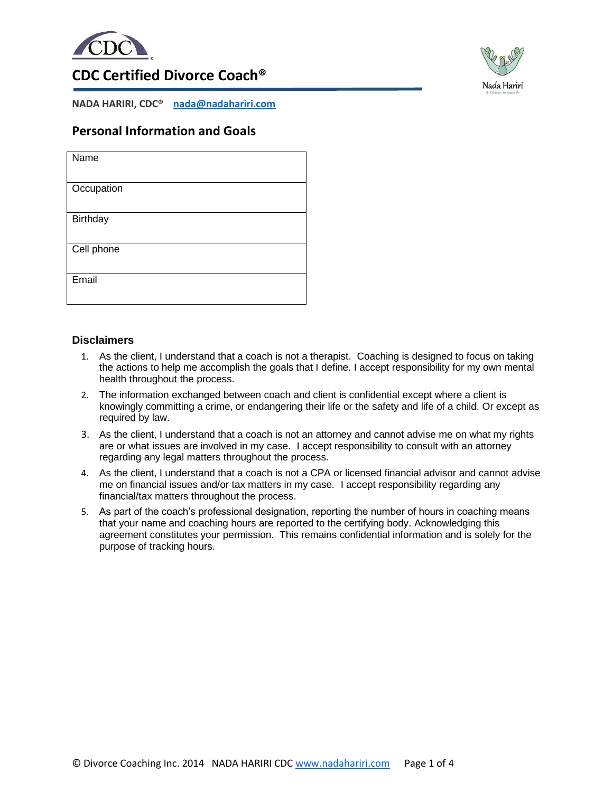



## **CDC Certified Divorce Coach®**

**NADA HARIRI, CDC® [nada@nadahariri.com](mailto:nada@nadahariri.com)**

### **Personal Information and Goals**

| Name            |
|-----------------|
|                 |
|                 |
| Occupation      |
|                 |
|                 |
| <b>Birthday</b> |
|                 |
|                 |
|                 |
| Cell phone      |
|                 |
|                 |
|                 |
| Email           |
|                 |
|                 |
|                 |

#### **Disclaimers**

- 1. As the client, I understand that a coach is not a therapist. Coaching is designed to focus on taking the actions to help me accomplish the goals that I define. I accept responsibility for my own mental health throughout the process.
- 2. The information exchanged between coach and client is confidential except where a client is knowingly committing a crime, or endangering their life or the safety and life of a child. Or except as required by law.
- 3. As the client, I understand that a coach is not an attorney and cannot advise me on what my rights are or what issues are involved in my case. I accept responsibility to consult with an attorney regarding any legal matters throughout the process.
- 4. As the client, I understand that a coach is not a CPA or licensed financial advisor and cannot advise me on financial issues and/or tax matters in my case. I accept responsibility regarding any financial/tax matters throughout the process.
- 5. As part of the coach's professional designation, reporting the number of hours in coaching means that your name and coaching hours are reported to the certifying body. Acknowledging this agreement constitutes your permission. This remains confidential information and is solely for the purpose of tracking hours.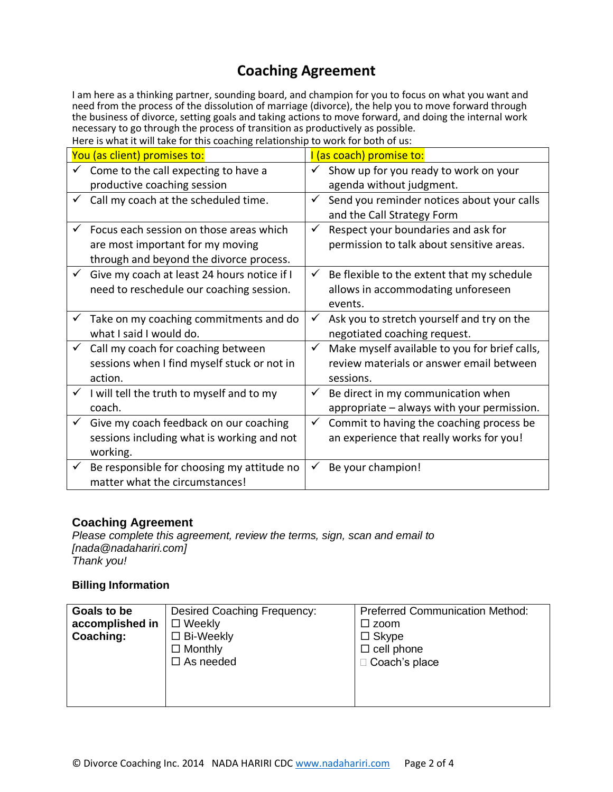# **Coaching Agreement**

I am here as a thinking partner, sounding board, and champion for you to focus on what you want and need from the process of the dissolution of marriage (divorce), the help you to move forward through the business of divorce, setting goals and taking actions to move forward, and doing the internal work necessary to go through the process of transition as productively as possible.

| You (as client) promises to:                                | (as coach) promise to:                                        |
|-------------------------------------------------------------|---------------------------------------------------------------|
| Come to the call expecting to have a                        | Show up for you ready to work on your<br>$\checkmark$         |
| productive coaching session                                 | agenda without judgment.                                      |
| Call my coach at the scheduled time.                        | Send you reminder notices about your calls<br>$\checkmark$    |
|                                                             | and the Call Strategy Form                                    |
| Focus each session on those areas which<br>✓                | Respect your boundaries and ask for<br>$\checkmark$           |
| are most important for my moving                            | permission to talk about sensitive areas.                     |
| through and beyond the divorce process.                     |                                                               |
| Give my coach at least 24 hours notice if I<br>$\checkmark$ | Be flexible to the extent that my schedule<br>$\checkmark$    |
| need to reschedule our coaching session.                    | allows in accommodating unforeseen                            |
|                                                             | events.                                                       |
| Take on my coaching commitments and do                      | $\checkmark$<br>Ask you to stretch yourself and try on the    |
| what I said I would do.                                     | negotiated coaching request.                                  |
| Call my coach for coaching between<br>$\checkmark$          | Make myself available to you for brief calls,<br>$\checkmark$ |
| sessions when I find myself stuck or not in                 | review materials or answer email between                      |
| action.                                                     | sessions.                                                     |
| I will tell the truth to myself and to my                   | Be direct in my communication when<br>$\checkmark$            |
| coach.                                                      | appropriate - always with your permission.                    |
| Give my coach feedback on our coaching                      | Commit to having the coaching process be<br>✓                 |
| sessions including what is working and not                  | an experience that really works for you!                      |
| working.                                                    |                                                               |
| Be responsible for choosing my attitude no                  | Be your champion!<br>✓                                        |
| matter what the circumstances!                              |                                                               |

### **Coaching Agreement**

*Please complete this agreement, review the terms, sign, scan and email to [nada@nadahariri.com] Thank you!*

### **Billing Information**

| Goals to be     | Desired Coaching Frequency: | <b>Preferred Communication Method:</b> |
|-----------------|-----------------------------|----------------------------------------|
| accomplished in | $\Box$ Weekly               | $\square$ zoom                         |
| Coaching:       | $\Box$ Bi-Weekly            | $\Box$ Skype                           |
|                 | $\Box$ Monthly              | $\Box$ cell phone                      |
|                 | $\Box$ As needed            | □ Coach's place                        |
|                 |                             |                                        |
|                 |                             |                                        |
|                 |                             |                                        |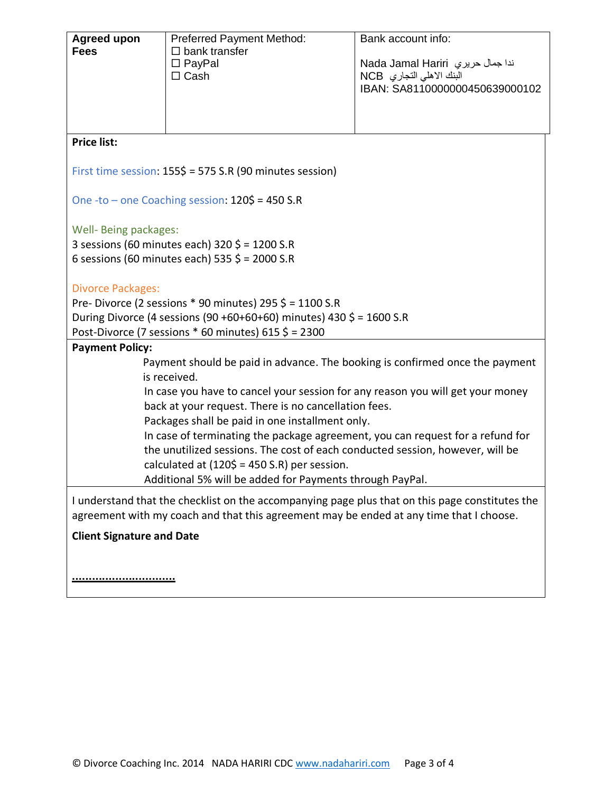| <b>Agreed upon</b><br><b>Fees</b>                                                                                                                                                          | <b>Preferred Payment Method:</b><br>$\square$ bank transfer<br>$\Box$ PayPal                                                           | Bank account info:<br>ندا جمال حريري  Nada Jamal Hariri    |  |  |
|--------------------------------------------------------------------------------------------------------------------------------------------------------------------------------------------|----------------------------------------------------------------------------------------------------------------------------------------|------------------------------------------------------------|--|--|
|                                                                                                                                                                                            | $\Box$ Cash                                                                                                                            | البنك الاهلي التجاري NCB<br>IBAN: SA8110000000450639000102 |  |  |
|                                                                                                                                                                                            |                                                                                                                                        |                                                            |  |  |
| <b>Price list:</b>                                                                                                                                                                         |                                                                                                                                        |                                                            |  |  |
| First time session: 155\$ = 575 S.R (90 minutes session)                                                                                                                                   |                                                                                                                                        |                                                            |  |  |
| One -to - one Coaching session: $120\frac{1}{5}$ = 450 S.R                                                                                                                                 |                                                                                                                                        |                                                            |  |  |
| Well- Being packages:<br>3 sessions (60 minutes each) 320 \$ = 1200 S.R                                                                                                                    |                                                                                                                                        |                                                            |  |  |
|                                                                                                                                                                                            | 6 sessions (60 minutes each) 535 $\frac{2}{5}$ = 2000 S.R                                                                              |                                                            |  |  |
| <b>Divorce Packages:</b>                                                                                                                                                                   |                                                                                                                                        |                                                            |  |  |
|                                                                                                                                                                                            | Pre-Divorce (2 sessions $*$ 90 minutes) 295 $\zeta$ = 1100 S.R<br>During Divorce (4 sessions (90 +60+60+60) minutes) 430 \$ = 1600 S.R |                                                            |  |  |
|                                                                                                                                                                                            | Post-Divorce (7 sessions $*$ 60 minutes) 615 $\frac{2}{7}$ = 2300                                                                      |                                                            |  |  |
| <b>Payment Policy:</b>                                                                                                                                                                     |                                                                                                                                        |                                                            |  |  |
|                                                                                                                                                                                            | Payment should be paid in advance. The booking is confirmed once the payment<br>is received.                                           |                                                            |  |  |
|                                                                                                                                                                                            | In case you have to cancel your session for any reason you will get your money                                                         |                                                            |  |  |
|                                                                                                                                                                                            | back at your request. There is no cancellation fees.                                                                                   |                                                            |  |  |
| Packages shall be paid in one installment only.                                                                                                                                            |                                                                                                                                        |                                                            |  |  |
| In case of terminating the package agreement, you can request for a refund for<br>the unutilized sessions. The cost of each conducted session, however, will be                            |                                                                                                                                        |                                                            |  |  |
| calculated at $(120\overline{5} = 450 \text{ S.R})$ per session.                                                                                                                           |                                                                                                                                        |                                                            |  |  |
| Additional 5% will be added for Payments through PayPal.                                                                                                                                   |                                                                                                                                        |                                                            |  |  |
| I understand that the checklist on the accompanying page plus that on this page constitutes the<br>agreement with my coach and that this agreement may be ended at any time that I choose. |                                                                                                                                        |                                                            |  |  |
| <b>Client Signature and Date</b>                                                                                                                                                           |                                                                                                                                        |                                                            |  |  |
|                                                                                                                                                                                            |                                                                                                                                        |                                                            |  |  |